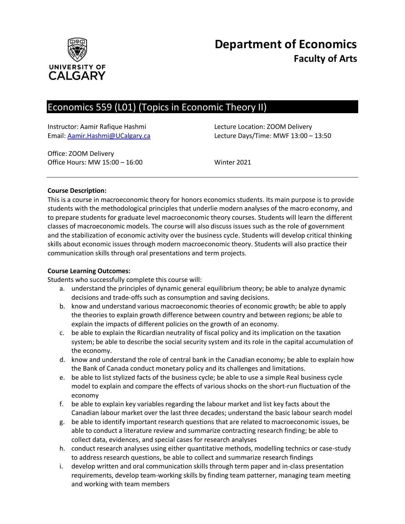

# **Department of Economics Faculty of Arts**

# Economics 559 (L01) (Topics in Economic Theory II)

Instructor: Aamir Rafique Hashmi Lecture Location: ZOOM Delivery

Email: [Aamir.Hashmi@UCalgary.ca](mailto:Aamir.Hashmi@UCalgary.ca) Lecture Days/Time: MWF 13:00 – 13:50

Office: ZOOM Delivery Office Hours: MW 15:00 – 16:00 Winter 2021

# **Course Description:**

This is a course in macroeconomic theory for honors economics students. Its main purpose is to provide students with the methodological principles that underlie modern analyses of the macro economy, and to prepare students for graduate level macroeconomic theory courses. Students will learn the different classes of macroeconomic models. The course will also discuss issues such as the role of government and the stabilization of economic activity over the business cycle. Students will develop critical thinking skills about economic issues through modern macroeconomic theory. Students will also practice their communication skills through oral presentations and term projects.

#### **Course Learning Outcomes:**

Students who successfully complete this course will:

- a. understand the principles of dynamic general equilibrium theory; be able to analyze dynamic decisions and trade-offs such as consumption and saving decisions.
- b. know and understand various macroeconomic theories of economic growth; be able to apply the theories to explain growth difference between country and between regions; be able to explain the impacts of different policies on the growth of an economy.
- c. be able to explain the Ricardian neutrality of fiscal policy and its implication on the taxation system; be able to describe the social security system and its role in the capital accumulation of the economy.
- d. know and understand the role of central bank in the Canadian economy; be able to explain how the Bank of Canada conduct monetary policy and its challenges and limitations.
- e. be able to list stylized facts of the business cycle; be able to use a simple Real business cycle model to explain and compare the effects of various shocks on the short-run fluctuation of the economy
- f. be able to explain key variables regarding the labour market and list key facts about the Canadian labour market over the last three decades; understand the basic labour search model
- g. be able to identify important research questions that are related to macroeconomic issues, be able to conduct a literature review and summarize contracting research finding; be able to collect data, evidences, and special cases for research analyses
- h. conduct research analyses using either quantitative methods, modelling technics or case-study to address research questions, be able to collect and summarize research findings
- i. develop written and oral communication skills through term paper and in-class presentation requirements, develop team-working skills by finding team patterner, managing team meeting and working with team members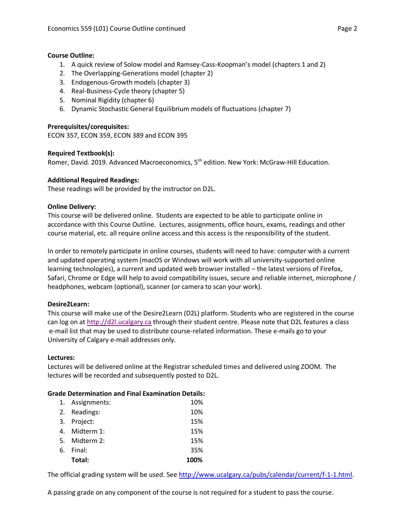#### **Course Outline:**

- 1. A quick review of Solow model and Ramsey-Cass-Koopman's model (chapters 1 and 2)
- 2. The Overlapping-Generations model (chapter 2)
- 3. Endogenous-Growth models (chapter 3)
- 4. Real-Business-Cycle theory (chapter 5)
- 5. Nominal Rigidity (chapter 6)
- 6. Dynamic Stochastic General Equilibrium models of fluctuations (chapter 7)

# **Prerequisites/corequisites:**

ECON 357, ECON 359, ECON 389 and ECON 395

# **Required Textbook(s):**

Romer, David. 2019. Advanced Macroeconomics, 5<sup>th</sup> edition. New York: McGraw-Hill Education.

# **Additional Required Readings:**

These readings will be provided by the instructor on D2L.

# **Online Delivery:**

This course will be delivered online. Students are expected to be able to participate online in accordance with this Course Outline. Lectures, assignments, office hours, exams, readings and other course material, etc. all require online access and this access is the responsibility of the student.

In order to remotely participate in online courses, students will need to have: computer with a current and updated operating system (macOS or Windows will work with all university-supported online learning technologies), a current and updated web browser installed – the latest versions of Firefox, Safari, Chrome or Edge will help to avoid compatibility issues, secure and reliable internet, microphone / headphones, webcam (optional), scanner (or camera to scan your work).

# **Desire2Learn:**

This course will make use of the Desire2Learn (D2L) platform. Students who are registered in the course can log on at [http://d2l.ucalgary.ca](http://d2l.ucalgary.ca/) through their student centre. Please note that D2L features a class e-mail list that may be used to distribute course-related information. These e-mails go to your University of Calgary e-mail addresses only.

#### **Lectures:**

Lectures will be delivered online at the Registrar scheduled times and delivered using ZOOM. The lectures will be recorded and subsequently posted to D2L.

#### **Grade Determination and Final Examination Details:**

|    | 1. Assignments: | 10%  |
|----|-----------------|------|
|    | 2. Readings:    | 10%  |
|    | 3. Project:     | 15%  |
| 4. | Midterm 1:      | 15%  |
|    | 5. Midterm 2:   | 15%  |
| 6. | Final:          | 35%  |
|    | Total:          | 100% |

The official grading system will be used. See [http://www.ucalgary.ca/pubs/calendar/current/f-1-1.html.](http://www.ucalgary.ca/pubs/calendar/current/f-1-1.html)

A passing grade on any component of the course is not required for a student to pass the course.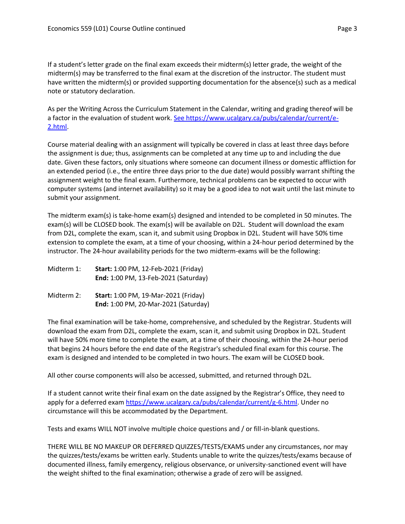If a student's letter grade on the final exam exceeds their midterm(s) letter grade, the weight of the midterm(s) may be transferred to the final exam at the discretion of the instructor. The student must have written the midterm(s) or provided supporting documentation for the absence(s) such as a medical note or statutory declaration.

As per the Writing Across the Curriculum Statement in the Calendar, writing and grading thereof will be a factor in the evaluation of student work. [See https://www.ucalgary.ca/pubs/calendar/current/e-](https://www.ucalgary.ca/pubs/calendar/current/e-2.html)[2.html.](https://www.ucalgary.ca/pubs/calendar/current/e-2.html)

Course material dealing with an assignment will typically be covered in class at least three days before the assignment is due; thus, assignments can be completed at any time up to and including the due date. Given these factors, only situations where someone can document illness or domestic affliction for an extended period (i.e., the entire three days prior to the due date) would possibly warrant shifting the assignment weight to the final exam. Furthermore, technical problems can be expected to occur with computer systems (and internet availability) so it may be a good idea to not wait until the last minute to submit your assignment.

The midterm exam(s) is take-home exam(s) designed and intended to be completed in 50 minutes. The exam(s) will be CLOSED book. The exam(s) will be available on D2L. Student will download the exam from D2L, complete the exam, scan it, and submit using Dropbox in D2L. Student will have 50% time extension to complete the exam, at a time of your choosing, within a 24-hour period determined by the instructor. The 24-hour availability periods for the two midterm-exams will be the following:

| Midterm 1: | <b>Start: 1:00 PM, 12-Feb-2021 (Friday)</b> |
|------------|---------------------------------------------|
|            | End: 1:00 PM, 13-Feb-2021 (Saturday)        |

Midterm 2: **Start:** 1:00 PM, 19-Mar-2021 (Friday) **End:** 1:00 PM, 20-Mar-2021 (Saturday)

The final examination will be take-home, comprehensive, and scheduled by the Registrar. Students will download the exam from D2L, complete the exam, scan it, and submit using Dropbox in D2L. Student will have 50% more time to complete the exam, at a time of their choosing, within the 24-hour period that begins 24 hours before the end date of the Registrar's scheduled final exam for this course. The exam is designed and intended to be completed in two hours. The exam will be CLOSED book.

All other course components will also be accessed, submitted, and returned through D2L.

If a student cannot write their final exam on the date assigned by the Registrar's Office, they need to apply for a deferred exam [https://www.ucalgary.ca/pubs/calendar/current/g-6.html.](https://www.ucalgary.ca/pubs/calendar/current/g-6.html) Under no circumstance will this be accommodated by the Department.

Tests and exams WILL NOT involve multiple choice questions and / or fill-in-blank questions.

THERE WILL BE NO MAKEUP OR DEFERRED QUIZZES/TESTS/EXAMS under any circumstances, nor may the quizzes/tests/exams be written early. Students unable to write the quizzes/tests/exams because of documented illness, family emergency, religious observance, or university-sanctioned event will have the weight shifted to the final examination; otherwise a grade of zero will be assigned.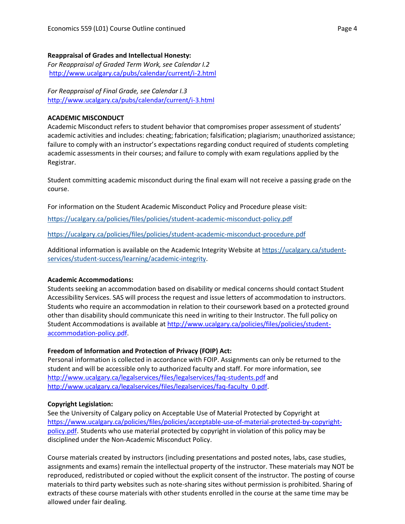#### **Reappraisal of Grades and Intellectual Honesty:**

*For Reappraisal of Graded Term Work, see Calendar I.2* <http://www.ucalgary.ca/pubs/calendar/current/i-2.html>

*For Reappraisal of Final Grade, see Calendar I.3* <http://www.ucalgary.ca/pubs/calendar/current/i-3.html>

#### **ACADEMIC MISCONDUCT**

Academic Misconduct refers to student behavior that compromises proper assessment of students' academic activities and includes: cheating; fabrication; falsification; plagiarism; unauthorized assistance; failure to comply with an instructor's expectations regarding conduct required of students completing academic assessments in their courses; and failure to comply with exam regulations applied by the Registrar.

Student committing academic misconduct during the final exam will not receive a passing grade on the course.

For information on the Student Academic Misconduct Policy and Procedure please visit:

<https://ucalgary.ca/policies/files/policies/student-academic-misconduct-policy.pdf>

<https://ucalgary.ca/policies/files/policies/student-academic-misconduct-procedure.pdf>

Additional information is available on the Academic Integrity Website at [https://ucalgary.ca/student](https://ucalgary.ca/student-services/student-success/learning/academic-integrity)[services/student-success/learning/academic-integrity.](https://ucalgary.ca/student-services/student-success/learning/academic-integrity)

# **Academic Accommodations:**

Students seeking an accommodation based on disability or medical concerns should contact Student Accessibility Services. SAS will process the request and issue letters of accommodation to instructors. Students who require an accommodation in relation to their coursework based on a protected ground other than disability should communicate this need in writing to their Instructor. The full policy on Student Accommodations is available at [http://www.ucalgary.ca/policies/files/policies/student](http://www.ucalgary.ca/policies/files/policies/student-accommodation-policy.pdf)[accommodation-policy.pdf.](http://www.ucalgary.ca/policies/files/policies/student-accommodation-policy.pdf)

# **Freedom of Information and Protection of Privacy (FOIP) Act:**

Personal information is collected in accordance with FOIP. Assignments can only be returned to the student and will be accessible only to authorized faculty and staff. For more information, see <http://www.ucalgary.ca/legalservices/files/legalservices/faq-students.pdf> and [http://www.ucalgary.ca/legalservices/files/legalservices/faq-faculty\\_0.pdf.](http://www.ucalgary.ca/legalservices/files/legalservices/faq-faculty_0.pdf)

#### **Copyright Legislation:**

See the University of Calgary policy on Acceptable Use of Material Protected by Copyright at [https://www.ucalgary.ca/policies/files/policies/acceptable-use-of-material-protected-by-copyright](https://www.ucalgary.ca/policies/files/policies/acceptable-use-of-material-protected-by-copyright-policy.pdf)[policy.pdf.](https://www.ucalgary.ca/policies/files/policies/acceptable-use-of-material-protected-by-copyright-policy.pdf) Students who use material protected by copyright in violation of this policy may be disciplined under the Non-Academic Misconduct Policy.

Course materials created by instructors (including presentations and posted notes, labs, case studies, assignments and exams) remain the intellectual property of the instructor. These materials may NOT be reproduced, redistributed or copied without the explicit consent of the instructor. The posting of course materials to third party websites such as note-sharing sites without permission is prohibited. Sharing of extracts of these course materials with other students enrolled in the course at the same time may be allowed under fair dealing.